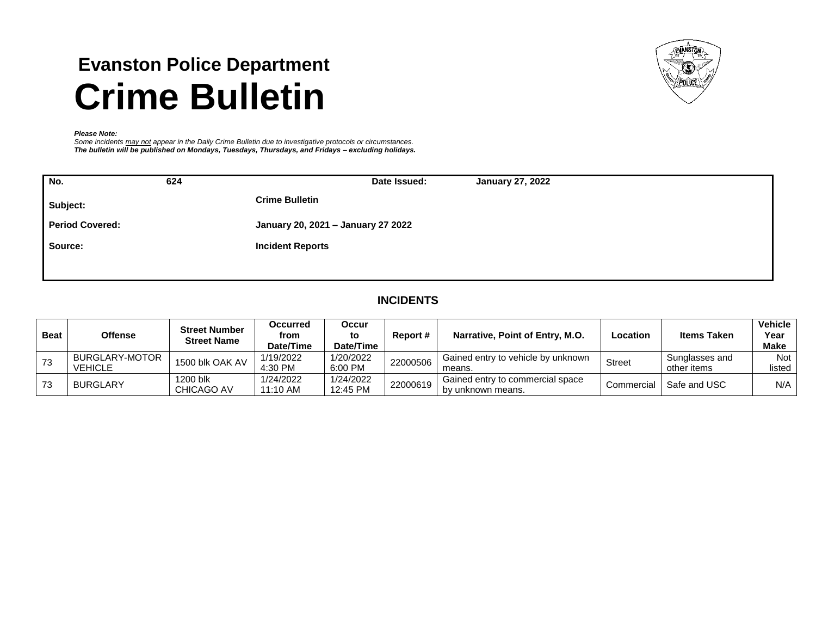# **Evanston Police Department Crime Bulletin**



#### *Please Note:*

*Some incidents may not appear in the Daily Crime Bulletin due to investigative protocols or circumstances. The bulletin will be published on Mondays, Tuesdays, Thursdays, and Fridays – excluding holidays.*

| No.                    | 624 | Date Issued:<br><b>January 27, 2022</b> |
|------------------------|-----|-----------------------------------------|
| Subject:               |     | <b>Crime Bulletin</b>                   |
| <b>Period Covered:</b> |     | January 20, 2021 - January 27 2022      |
| Source:                |     | <b>Incident Reports</b>                 |
|                        |     |                                         |

# **INCIDENTS**

| Beat | Offense                          | <b>Street Number</b><br><b>Street Name</b> | <b>Occurred</b><br>from<br>Date/Time | <b>Occur</b><br>to<br>Date/Time | <b>Report #</b> | Narrative, Point of Entry, M.O.                       | Location      | <b>Items Taken</b>            | <b>Vehicle</b><br>Year<br><b>Make</b> |
|------|----------------------------------|--------------------------------------------|--------------------------------------|---------------------------------|-----------------|-------------------------------------------------------|---------------|-------------------------------|---------------------------------------|
| 73   | BURGLARY-MOTOR<br><b>VEHICLE</b> | 1500 blk OAK AV                            | 1/19/2022<br>4:30 PM                 | 1/20/2022<br>6:00 PM            | 22000506        | Gained entry to vehicle by unknown<br>means.          | <b>Street</b> | Sunglasses and<br>other items | <b>Not</b><br>listed                  |
|      | <b>BURGLARY</b>                  | 1200 blk<br>CHICAGO AV                     | 1/24/2022<br>11:10 AM                | 1/24/2022<br>12:45 PM           | 22000619        | Gained entry to commercial space<br>by unknown means. | Commercial    | Safe and USC                  | N/A                                   |